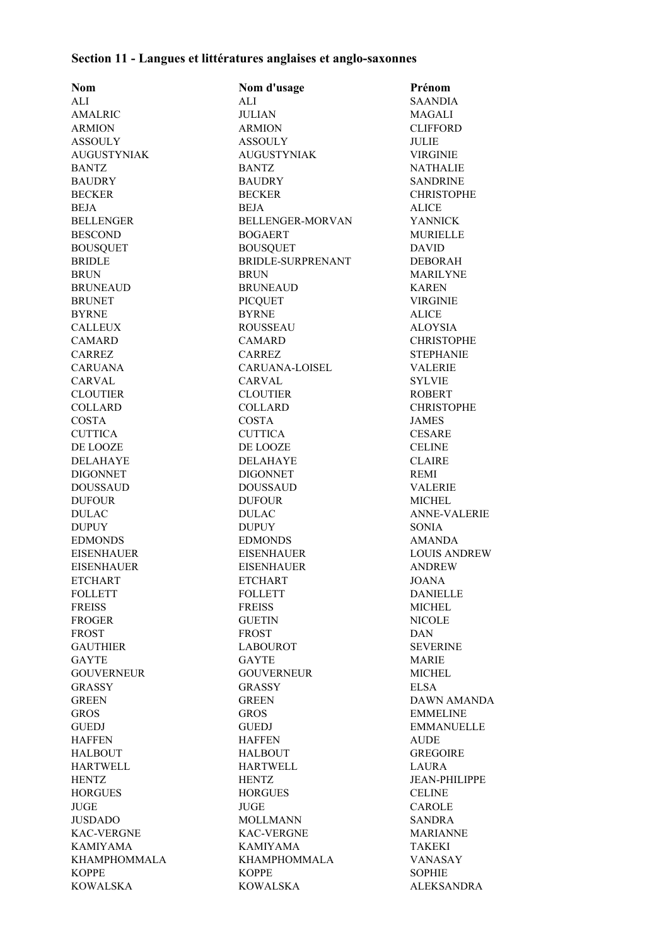## **Section 11 - Langues et littératures anglaises et anglo-saxonnes**

| <b>Nom</b>          | Nom d'usage           | Prénom               |
|---------------------|-----------------------|----------------------|
| ALI                 | ALI                   | <b>SAANDIA</b>       |
| <b>AMALRIC</b>      | <b>JULIAN</b>         | <b>MAGALI</b>        |
| <b>ARMION</b>       | <b>ARMION</b>         | <b>CLIFFORD</b>      |
| <b>ASSOULY</b>      | <b>ASSOULY</b>        | JULIE                |
| <b>AUGUSTYNIAK</b>  | <b>AUGUSTYNIAK</b>    | <b>VIRGINIE</b>      |
| <b>BANTZ</b>        | <b>BANTZ</b>          | <b>NATHALIE</b>      |
| <b>BAUDRY</b>       | <b>BAUDRY</b>         | <b>SANDRINE</b>      |
| <b>BECKER</b>       | <b>BECKER</b>         | <b>CHRISTOPHE</b>    |
| <b>BEJA</b>         | <b>BEJA</b>           | <b>ALICE</b>         |
| <b>BELLENGER</b>    | BELLENGER-MORVAN      | <b>YANNICK</b>       |
| <b>BESCOND</b>      | <b>BOGAERT</b>        | <b>MURIELLE</b>      |
| <b>BOUSQUET</b>     | <b>BOUSQUET</b>       | <b>DAVID</b>         |
| <b>BRIDLE</b>       | BRIDLE-SURPRENANT     | <b>DEBORAH</b>       |
| <b>BRUN</b>         | <b>BRUN</b>           | <b>MARILYNE</b>      |
| <b>BRUNEAUD</b>     | <b>BRUNEAUD</b>       | <b>KAREN</b>         |
| <b>BRUNET</b>       | <b>PICQUET</b>        | <b>VIRGINIE</b>      |
| <b>BYRNE</b>        | <b>BYRNE</b>          | <b>ALICE</b>         |
| <b>CALLEUX</b>      | <b>ROUSSEAU</b>       | <b>ALOYSIA</b>       |
| <b>CAMARD</b>       | <b>CAMARD</b>         | <b>CHRISTOPHE</b>    |
| <b>CARREZ</b>       | <b>CARREZ</b>         | <b>STEPHANIE</b>     |
| <b>CARUANA</b>      | <b>CARUANA-LOISEL</b> | <b>VALERIE</b>       |
| <b>CARVAL</b>       | <b>CARVAL</b>         | <b>SYLVIE</b>        |
| <b>CLOUTIER</b>     | <b>CLOUTIER</b>       | <b>ROBERT</b>        |
| <b>COLLARD</b>      | <b>COLLARD</b>        |                      |
|                     |                       | <b>CHRISTOPHE</b>    |
| <b>COSTA</b>        | <b>COSTA</b>          | <b>JAMES</b>         |
| <b>CUTTICA</b>      | <b>CUTTICA</b>        | <b>CESARE</b>        |
| DE LOOZE            | DE LOOZE              | <b>CELINE</b>        |
| <b>DELAHAYE</b>     | <b>DELAHAYE</b>       | <b>CLAIRE</b>        |
| <b>DIGONNET</b>     | <b>DIGONNET</b>       | <b>REMI</b>          |
| <b>DOUSSAUD</b>     | <b>DOUSSAUD</b>       | <b>VALERIE</b>       |
| <b>DUFOUR</b>       | <b>DUFOUR</b>         | <b>MICHEL</b>        |
| <b>DULAC</b>        | <b>DULAC</b>          | <b>ANNE-VALERIE</b>  |
| <b>DUPUY</b>        | <b>DUPUY</b>          | <b>SONIA</b>         |
| <b>EDMONDS</b>      | <b>EDMONDS</b>        | <b>AMANDA</b>        |
| <b>EISENHAUER</b>   | <b>EISENHAUER</b>     | <b>LOUIS ANDREW</b>  |
| <b>EISENHAUER</b>   | <b>EISENHAUER</b>     | <b>ANDREW</b>        |
| <b>ETCHART</b>      | <b>ETCHART</b>        | JOANA                |
| <b>FOLLETT</b>      | <b>FOLLETT</b>        | <b>DANIELLE</b>      |
| <b>FREISS</b>       | <b>FREISS</b>         | <b>MICHEL</b>        |
| <b>FROGER</b>       | <b>GUETIN</b>         | NICOLE               |
| <b>FROST</b>        | <b>FROST</b>          | <b>DAN</b>           |
| <b>GAUTHIER</b>     | <b>LABOUROT</b>       | <b>SEVERINE</b>      |
| <b>GAYTE</b>        | <b>GAYTE</b>          | <b>MARIE</b>         |
| <b>GOUVERNEUR</b>   | <b>GOUVERNEUR</b>     | <b>MICHEL</b>        |
| <b>GRASSY</b>       | <b>GRASSY</b>         | <b>ELSA</b>          |
| <b>GREEN</b>        | <b>GREEN</b>          | <b>DAWN AMANDA</b>   |
| <b>GROS</b>         | <b>GROS</b>           | <b>EMMELINE</b>      |
| <b>GUEDJ</b>        | <b>GUEDJ</b>          | <b>EMMANUELLE</b>    |
| <b>HAFFEN</b>       | <b>HAFFEN</b>         | <b>AUDE</b>          |
| <b>HALBOUT</b>      | <b>HALBOUT</b>        | <b>GREGOIRE</b>      |
| <b>HARTWELL</b>     | <b>HARTWELL</b>       | <b>LAURA</b>         |
| <b>HENTZ</b>        | <b>HENTZ</b>          | <b>JEAN-PHILIPPE</b> |
| <b>HORGUES</b>      | <b>HORGUES</b>        | <b>CELINE</b>        |
| <b>JUGE</b>         | <b>JUGE</b>           | CAROLE               |
| <b>JUSDADO</b>      | <b>MOLLMANN</b>       | <b>SANDRA</b>        |
| <b>KAC-VERGNE</b>   | <b>KAC-VERGNE</b>     | <b>MARIANNE</b>      |
| <b>KAMIYAMA</b>     | <b>KAMIYAMA</b>       | <b>TAKEKI</b>        |
| <b>KHAMPHOMMALA</b> | KHAMPHOMMALA          | <b>VANASAY</b>       |
| <b>KOPPE</b>        | <b>KOPPE</b>          | <b>SOPHIE</b>        |
| <b>KOWALSKA</b>     | KOWALSKA              | <b>ALEKSANDRA</b>    |
|                     |                       |                      |